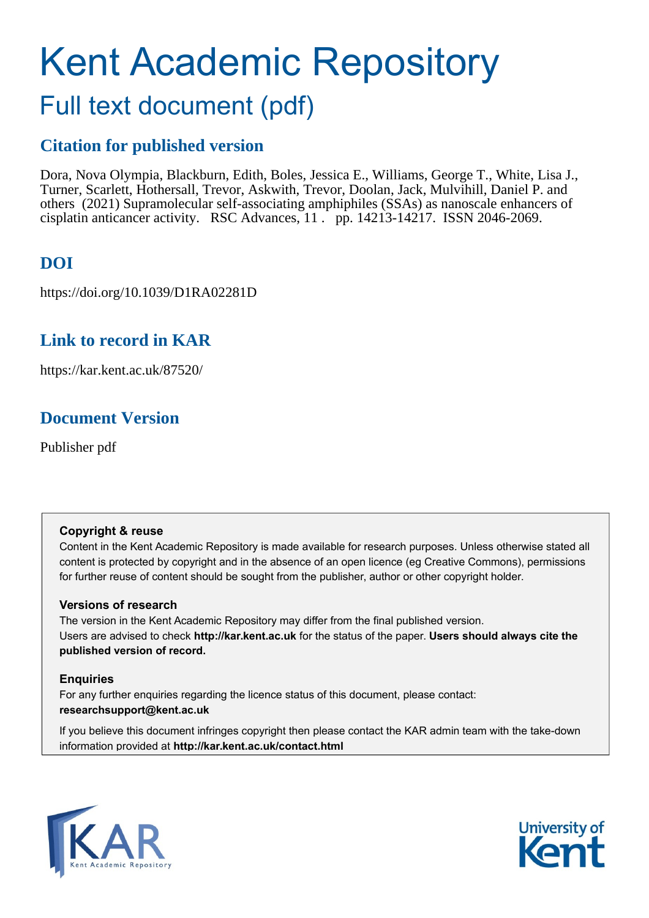# Kent Academic Repository

## Full text document (pdf)

### **Citation for published version**

Dora, Nova Olympia, Blackburn, Edith, Boles, Jessica E., Williams, George T., White, Lisa J., Turner, Scarlett, Hothersall, Trevor, Askwith, Trevor, Doolan, Jack, Mulvihill, Daniel P. and others (2021) Supramolecular self-associating amphiphiles (SSAs) as nanoscale enhancers of cisplatin anticancer activity. RSC Advances, 11 . pp. 14213-14217. ISSN 2046-2069.

### **DOI**

https://doi.org/10.1039/D1RA02281D

### **Link to record in KAR**

https://kar.kent.ac.uk/87520/

### **Document Version**

Publisher pdf

### **Copyright & reuse**

Content in the Kent Academic Repository is made available for research purposes. Unless otherwise stated all content is protected by copyright and in the absence of an open licence (eg Creative Commons), permissions for further reuse of content should be sought from the publisher, author or other copyright holder.

### **Versions of research**

The version in the Kent Academic Repository may differ from the final published version. Users are advised to check **http://kar.kent.ac.uk** for the status of the paper. **Users should always cite the published version of record.**

### **Enquiries**

For any further enquiries regarding the licence status of this document, please contact: **researchsupport@kent.ac.uk**

If you believe this document infringes copyright then please contact the KAR admin team with the take-down information provided at **http://kar.kent.ac.uk/contact.html**



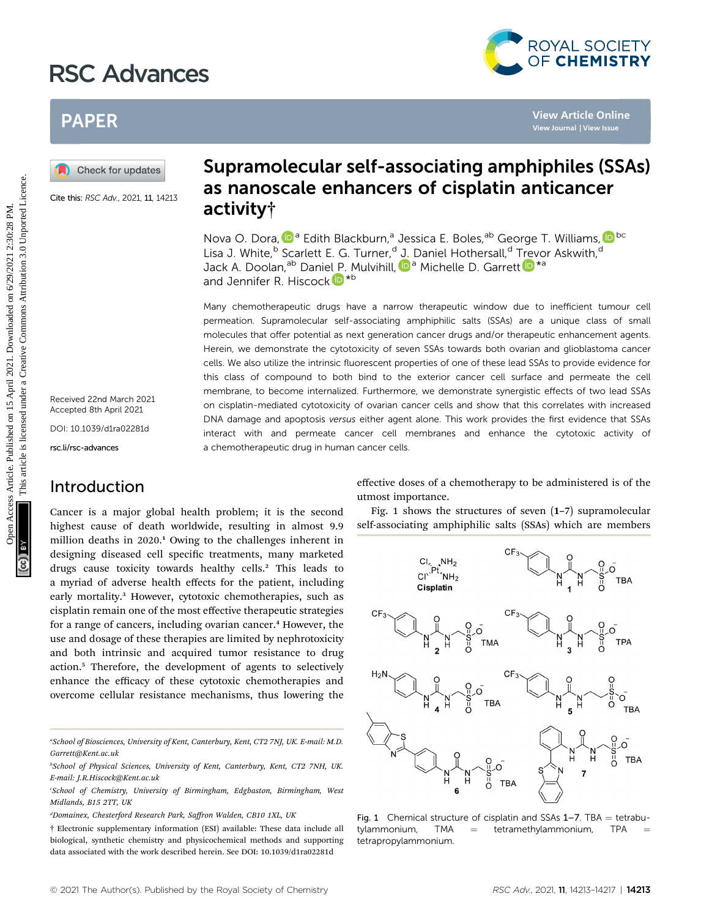### RSC Advances



### PAPER

Cite this: RSC Adv., 2021, 11, 14213

Received 22nd March 2021 Accepted 8th April 2021 DOI: 10.1039/d1ra02281d

rsc.li/rsc-advances

### Introduction

Cancer is a major global health problem; it is the second highest cause of death worldwide, resulting in almost 9.9 million deaths in 2020.<sup>1</sup> Owing to the challenges inherent in designing diseased cell specific treatments, many marketed drugs cause toxicity towards healthy cells.<sup>2</sup> This leads to a myriad of adverse health effects for the patient, including early mortality.<sup>3</sup> However, cytotoxic chemotherapies, such as cisplatin remain one of the most effective therapeutic strategies for a range of cancers, including ovarian cancer.<sup>4</sup> However, the use and dosage of these therapies are limited by nephrotoxicity and both intrinsic and acquired tumor resistance to drug action.<sup>5</sup> Therefore, the development of agents to selectively enhance the efficacy of these cytotoxic chemotherapies and overcome cellular resistance mechanisms, thus lowering the

a School of Biosciences, University of Kent, Canterbury, Kent, CT2 7NJ, UK. E-mail: M.D. Garrett@Kent.ac.uk

## Supramolecular self-associating amphiphiles (SSAs) activity†

Nova O. Dora[,](http://orcid.org/0000-0001-6162-8895) <sup>Da</sup> Edith Blackburn,<sup>a</sup> Jessica E. Boles,<sup>ab</sup> George T. Williams, D<sup>bc</sup> Lisa [J.](http://orcid.org/0000-0003-2502-5274) White,<sup>b</sup> Scarlett E. G. Turner,<sup>d</sup> J. Daniel Hothersall,<sup>d</sup> Trevor Askwith,<sup>d</sup> Jack A. Doolan,<sup>ab</sup> Daniel P. Mulvihill, <sup>Da</sup> Michelle D. Garre[t](http://orcid.org/0000-0002-3939-1673)t D<sup>\*a</sup> and Jennifer R. Hiscoc[k](http://orcid.org/0000-0002-1406-8802)<sup>D\*b</sup>

Many chemotherapeutic drugs have a narrow therapeutic window due to inefficient tumour cell permeation. Supramolecular self-associating amphiphilic salts (SSAs) are a unique class of small molecules that offer potential as next generation cancer drugs and/or therapeutic enhancement agents. Herein, we demonstrate the cytotoxicity of seven SSAs towards both ovarian and glioblastoma cancer cells. We also utilize the intrinsic fluorescent properties of one of these lead SSAs to provide evidence for this class of compound to both bind to the exterior cancer cell surface and permeate the cell membrane, to become internalized. Furthermore, we demonstrate synergistic effects of two lead SSAs on cisplatin-mediated cytotoxicity of ovarian cancer cells and show that this correlates with increased DNA damage and apoptosis versus either agent alone. This work provides the first evidence that SSAs interact with and permeate cancer cell membranes and enhance the cytotoxic activity of a chemotherapeutic drug in human cancer cells. PAPER<br>
(a) Check for updates<br>
Suppramolecular self-associating amphiphiles (SS)<br>
Covered and a suppramolecular self-associating amphiphiles (SS)<br>
Covered and a suppramolecular self-associating amphiphiles (SS)<br>
San and Jo

effective doses of a chemotherapy to be administered is of the utmost importance.

Fig. 1 shows the structures of seven (1–7) supramolecular self-associating amphiphilic salts (SSAs) which are members



**Fig. 1** Chemical structure of cisplatin and SSAs  $1-7$ . TBA = tetrabu-<br>tylammonium, TMA = tetramethylammonium, TPA = tetramethylammonium, tetrapropylammonium.

b School of Physical Sciences, University of Kent, Canterbury, Kent, CT2 7NH, UK. E-mail: J.R.Hiscock@Kent.ac.uk

c School of Chemistry, University of Birmingham, Edgbaston, Birmingham, West Midlands, B15 2TT, UK

<sup>&</sup>lt;sup>d</sup>Domainex, Chesterford Research Park, Saffron Walden, CB10 1XL, UK

<sup>†</sup> Electronic supplementary information (ESI) available: These data include all biological, synthetic chemistry and physicochemical methods and supporting data associated with the work described herein. See DOI: 10.1039/d1ra02281d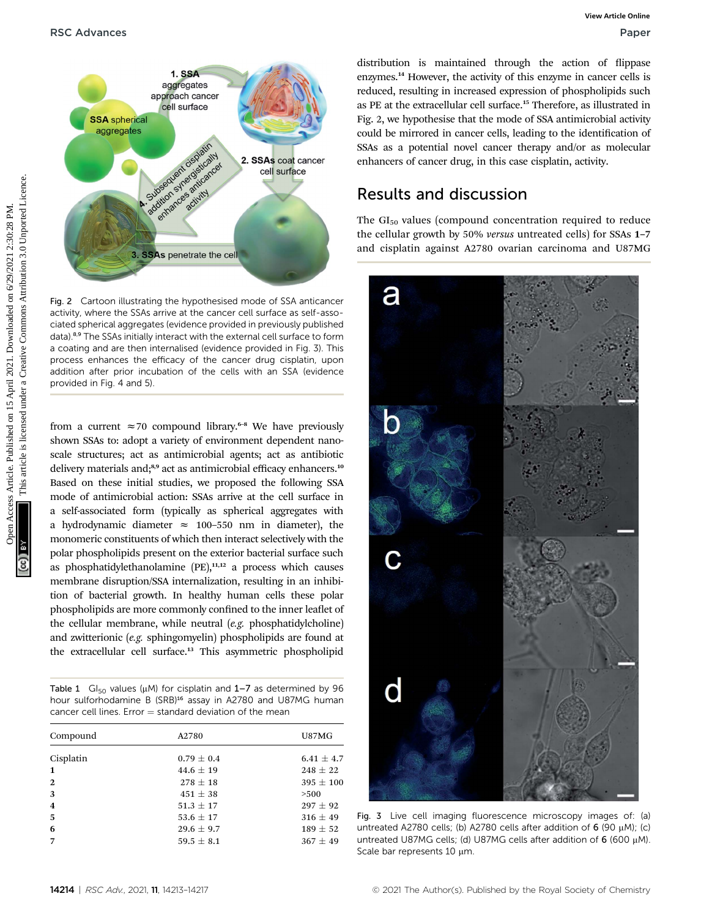

Fig. 2 Cartoon illustrating the hypothesised mode of SSA anticancer activity, where the SSAs arrive at the cancer cell surface as self-associated spherical aggregates (evidence provided in previously published data).8,9 The SSAs initially interact with the external cell surface to form a coating and are then internalised (evidence provided in Fig. 3). This process enhances the efficacy of the cancer drug cisplatin, upon addition after prior incubation of the cells with an SSA (evidence provided in Fig. 4 and 5).

from a current  $\approx$  70 compound library.<sup>6-8</sup> We have previously shown SSAs to: adopt a variety of environment dependent nanoscale structures; act as antimicrobial agents; act as antibiotic delivery materials and;<sup>8,9</sup> act as antimicrobial efficacy enhancers.<sup>10</sup> Based on these initial studies, we proposed the following SSA mode of antimicrobial action: SSAs arrive at the cell surface in a self-associated form (typically as spherical aggregates with a hydrodynamic diameter  $\approx$  100-550 nm in diameter), the monomeric constituents of which then interact selectively with the polar phospholipids present on the exterior bacterial surface such as phosphatidylethanolamine  $(PE)$ ,<sup>11,12</sup> a process which causes membrane disruption/SSA internalization, resulting in an inhibition of bacterial growth. In healthy human cells these polar phospholipids are more commonly confined to the inner leaflet of the cellular membrane, while neutral (e.g. phosphatidylcholine) and zwitterionic (e.g. sphingomyelin) phospholipids are found at the extracellular cell surface.<sup>13</sup> This asymmetric phospholipid

Table 1  $\,$  Gl<sub>50</sub> values ( $\mu$ M) for cisplatin and 1–7 as determined by 96 hour sulforhodamine B (SRB)<sup>16</sup> assay in A2780 and U87MG human cancer cell lines. Error  $=$  standard deviation of the mean

| Compound                | A2780          | U87MG          |  |  |  |  |
|-------------------------|----------------|----------------|--|--|--|--|
| Cisplatin               | $0.79 \pm 0.4$ | $6.41 \pm 4.7$ |  |  |  |  |
| $\mathbf{1}$            | $44.6 \pm 19$  | $248 \pm 22$   |  |  |  |  |
| $\mathbf{2}$            | $278 \pm 18$   | $395 \pm 100$  |  |  |  |  |
| 3                       | $451 \pm 38$   | >500           |  |  |  |  |
| $\overline{\mathbf{4}}$ | $51.3 \pm 17$  | $297 \pm 92$   |  |  |  |  |
| 5                       | 53.6 $\pm$ 17  | $316 \pm 49$   |  |  |  |  |
| 6                       | $29.6 \pm 9.7$ | $189 \pm 52$   |  |  |  |  |
| 7                       | $59.5 \pm 8.1$ | $367 \pm 49$   |  |  |  |  |
|                         |                |                |  |  |  |  |

distribution is maintained through the action of flippase enzymes.<sup>14</sup> However, the activity of this enzyme in cancer cells is reduced, resulting in increased expression of phospholipids such as PE at the extracellular cell surface.<sup>15</sup> Therefore, as illustrated in Fig. 2, we hypothesise that the mode of SSA antimicrobial activity could be mirrored in cancer cells, leading to the identification of SSAs as a potential novel cancer therapy and/or as molecular enhancers of cancer drug, in this case cisplatin, activity.

### Results and discussion

The  $GI_{50}$  values (compound concentration required to reduce the cellular growth by 50% versus untreated cells) for SSAs 1–7 and cisplatin against A2780 ovarian carcinoma and U87MG



Fig. 3 Live cell imaging fluorescence microscopy images of: (a) untreated A2780 cells; (b) A2780 cells after addition of 6 (90 µM); (c) untreated U87MG cells; (d) U87MG cells after addition of  $6$  (600  $\mu$ M). Scale bar represents 10 µm.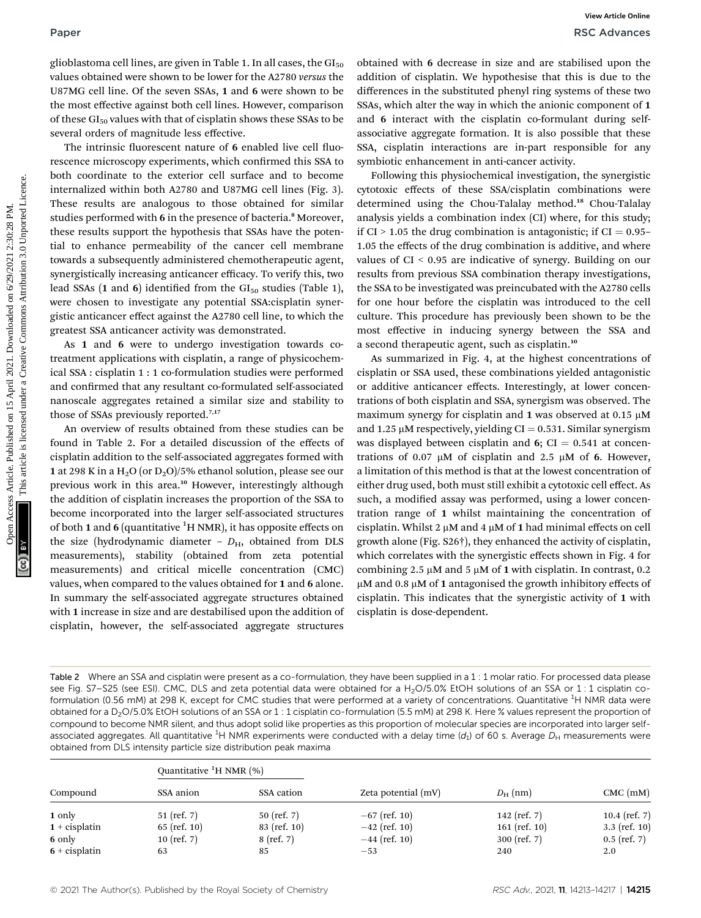glioblastoma cell lines, are given in Table 1. In all cases, the  $GI_{50}$ values obtained were shown to be lower for the A2780 versus the U87MG cell line. Of the seven SSAs, 1 and 6 were shown to be the most effective against both cell lines. However, comparison of these  $GI_{50}$  values with that of cisplatin shows these SSAs to be several orders of magnitude less effective.

The intrinsic fluorescent nature of 6 enabled live cell fluorescence microscopy experiments, which confirmed this SSA to both coordinate to the exterior cell surface and to become internalized within both A2780 and U87MG cell lines (Fig. 3). These results are analogous to those obtained for similar studies performed with 6 in the presence of bacteria.<sup>8</sup> Moreover, these results support the hypothesis that SSAs have the potential to enhance permeability of the cancer cell membrane towards a subsequently administered chemotherapeutic agent, synergistically increasing anticancer efficacy. To verify this, two lead SSAs (1 and 6) identified from the  $GI_{50}$  studies (Table 1), were chosen to investigate any potential SSA:cisplatin synergistic anticancer effect against the A2780 cell line, to which the greatest SSA anticancer activity was demonstrated. Paper<br> **Paper**<br> **Pack Arbons:**<br> **Paper Common Access Article Common Access Article Common Access Article Common Access Article Common Access Article is different on the paper of the state of the this article. The common C** 

As 1 and 6 were to undergo investigation towards cotreatment applications with cisplatin, a range of physicochemical SSA : cisplatin 1 : 1 co-formulation studies were performed and confirmed that any resultant co-formulated self-associated nanoscale aggregates retained a similar size and stability to those of SSAs previously reported.7,17

An overview of results obtained from these studies can be found in Table 2. For a detailed discussion of the effects of cisplatin addition to the self-associated aggregates formed with 1 at 298 K in a  $H_2O$  (or  $D_2O$ )/5% ethanol solution, please see our previous work in this area.<sup>10</sup> However, interestingly although the addition of cisplatin increases the proportion of the SSA to become incorporated into the larger self-associated structures of both 1 and 6 (quantitative  $^1\mathrm{H}$  NMR), it has opposite effects on the size (hydrodynamic diameter -  $D_{\text{H}}$ , obtained from DLS measurements), stability (obtained from zeta potential measurements) and critical micelle concentration (CMC) values, when compared to the values obtained for 1 and 6 alone. In summary the self-associated aggregate structures obtained with 1 increase in size and are destabilised upon the addition of cisplatin, however, the self-associated aggregate structures

obtained with 6 decrease in size and are stabilised upon the addition of cisplatin. We hypothesise that this is due to the differences in the substituted phenyl ring systems of these two SSAs, which alter the way in which the anionic component of 1 and 6 interact with the cisplatin co-formulant during selfassociative aggregate formation. It is also possible that these SSA, cisplatin interactions are in-part responsible for any symbiotic enhancement in anti-cancer activity.

Following this physiochemical investigation, the synergistic cytotoxic effects of these SSA/cisplatin combinations were determined using the Chou-Talalay method.<sup>18</sup> Chou-Talalay analysis yields a combination index (CI) where, for this study; if  $CI > 1.05$  the drug combination is antagonistic; if  $CI = 0.95$ 1.05 the effects of the drug combination is additive, and where values of CI < 0.95 are indicative of synergy. Building on our results from previous SSA combination therapy investigations, the SSA to be investigated was preincubated with the A2780 cells for one hour before the cisplatin was introduced to the cell culture. This procedure has previously been shown to be the most effective in inducing synergy between the SSA and a second therapeutic agent, such as cisplatin.<sup>10</sup>

As summarized in Fig. 4, at the highest concentrations of cisplatin or SSA used, these combinations yielded antagonistic or additive anticancer effects. Interestingly, at lower concentrations of both cisplatin and SSA, synergism was observed. The maximum synergy for cisplatin and  $1$  was observed at 0.15  $\mu$ M and 1.25  $\mu$ M respectively, yielding CI = 0.531. Similar synergism was displayed between cisplatin and  $6$ ; CI = 0.541 at concentrations of 0.07  $\mu$ M of cisplatin and 2.5  $\mu$ M of 6. However, a limitation of this method is that at the lowest concentration of either drug used, both must still exhibit a cytotoxic cell effect. As such, a modified assay was performed, using a lower concentration range of 1 whilst maintaining the concentration of cisplatin. Whilst 2  $\mu$ M and 4  $\mu$ M of 1 had minimal effects on cell growth alone (Fig. S26†), they enhanced the activity of cisplatin, which correlates with the synergistic effects shown in Fig. 4 for combining 2.5  $\mu$ M and 5  $\mu$ M of 1 with cisplatin. In contrast, 0.2  $\mu$ M and 0.8  $\mu$ M of 1 antagonised the growth inhibitory effects of cisplatin. This indicates that the synergistic activity of 1 with cisplatin is dose-dependent.

Table 2 Where an SSA and cisplatin were present as a co-formulation, they have been supplied in a 1 : 1 molar ratio. For processed data please see Fig. S7–S25 (see ESI). CMC, DLS and zeta potential data were obtained for a H<sub>2</sub>O/5.0% EtOH solutions of an SSA or 1:1 cisplatin coformulation (0.56 mM) at 298 K, except for CMC studies that were performed at a variety of concentrations. Quantitative <sup>1</sup>H NMR data were obtained for a D<sub>2</sub>O/5.0% EtOH solutions of an SSA or 1 : 1 cisplatin co-formulation (5.5 mM) at 298 K. Here % values represent the proportion of compound to become NMR silent, and thus adopt solid like properties as this proportion of molecular species are incorporated into larger selfassociated aggregates. All quantitative <sup>1</sup>H NMR experiments were conducted with a delay time (d<sub>1</sub>) of 60 s. Average  $D_H$  measurements were obtained from DLS intensity particle size distribution peak maxima

|                 | Quantitative ${}^{1}H$ NMR $(\% )$ |                |                     |                  |                   |
|-----------------|------------------------------------|----------------|---------------------|------------------|-------------------|
| Compound        | SSA anion                          | SSA cation     | Zeta potential (mV) | $D_{\rm H}$ (nm) | $CMC$ (mM)        |
| 1 only          | $51$ (ref. 7)                      | $50$ (ref. 7)  | $-67$ (ref. 10)     | 142 (ref. $7)$ ) | 10.4 (ref. $7)$ ) |
| $1 +$ cisplatin | $65$ (ref. 10)                     | $83$ (ref. 10) | $-42$ (ref. 10)     | 161 (ref. $10$ ) | $3.3$ (ref. 10)   |
| 6 only          | 10 (ref. $7)$ )                    | $8$ (ref. 7)   | $-44$ (ref. 10)     | $300$ (ref. 7)   | $0.5$ (ref. 7)    |
| $6 +$ cisplatin | 63                                 | 85             | $-53$               | 240              | 2.0               |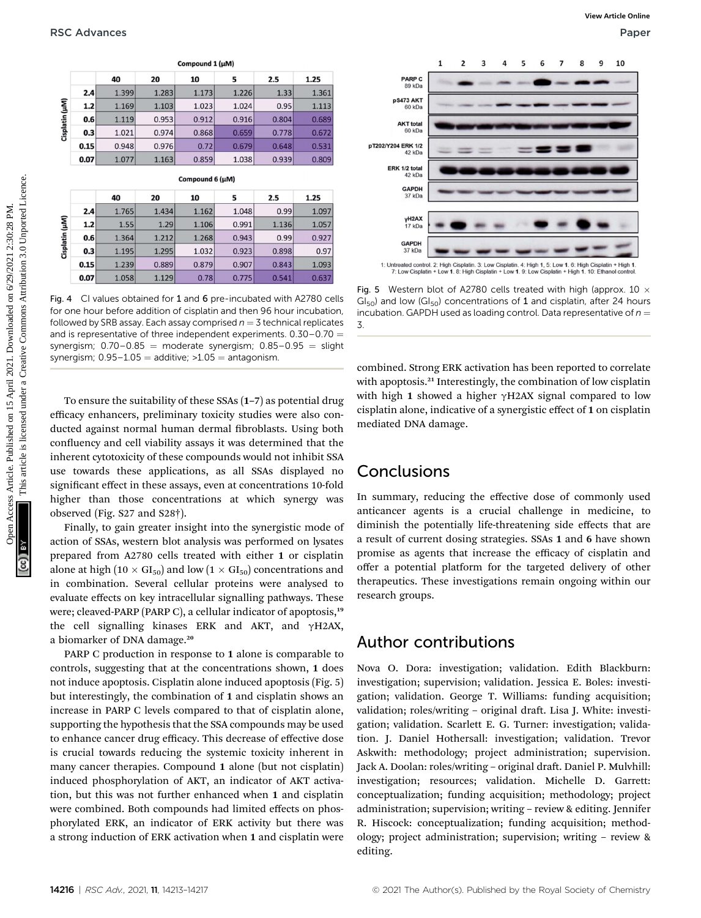|                |              |                                                          |               | Compound 1 (µM) |                |               |                                                                                                                                                                                                                                                                                                                                                                                                                                                                                                                                                                |                                                                                                                                                                                                                                                                                                                                                                                                       | 1 | 2 | 3 | 4 | 5 | 6 | 7 | 8 | 9 | 10 |
|----------------|--------------|----------------------------------------------------------|---------------|-----------------|----------------|---------------|----------------------------------------------------------------------------------------------------------------------------------------------------------------------------------------------------------------------------------------------------------------------------------------------------------------------------------------------------------------------------------------------------------------------------------------------------------------------------------------------------------------------------------------------------------------|-------------------------------------------------------------------------------------------------------------------------------------------------------------------------------------------------------------------------------------------------------------------------------------------------------------------------------------------------------------------------------------------------------|---|---|---|---|---|---|---|---|---|----|
|                |              | 40                                                       | 20            | 10              | 5              | 2.5           | 1.25                                                                                                                                                                                                                                                                                                                                                                                                                                                                                                                                                           | PARP C                                                                                                                                                                                                                                                                                                                                                                                                |   |   |   |   |   |   |   |   |   |    |
|                | 2.4          | 1.399                                                    | 1.283         | 1.173           | 1.226          | 1.33          | 1.361                                                                                                                                                                                                                                                                                                                                                                                                                                                                                                                                                          | 89 kDa                                                                                                                                                                                                                                                                                                                                                                                                |   |   |   |   |   |   |   |   |   |    |
| Cisplatin (µM) | $1.2$        | 1.169                                                    | 1.103         | 1.023           | 1.024          | 0.95          | 1.113                                                                                                                                                                                                                                                                                                                                                                                                                                                                                                                                                          | pS473 AKT<br>60 kDa                                                                                                                                                                                                                                                                                                                                                                                   |   |   |   |   |   |   |   |   |   |    |
|                | 0.6          | 1.119                                                    | 0.953         | 0.912           | 0.916          | 0.804         | 0.689                                                                                                                                                                                                                                                                                                                                                                                                                                                                                                                                                          | <b>AKT</b> total                                                                                                                                                                                                                                                                                                                                                                                      |   |   |   |   |   |   |   |   |   |    |
|                | 0.3          | 1.021                                                    | 0.974         | 0.868           | 0.659          | 0.778         | 0.672                                                                                                                                                                                                                                                                                                                                                                                                                                                                                                                                                          | 60 kDa                                                                                                                                                                                                                                                                                                                                                                                                |   |   |   |   |   |   |   |   |   |    |
|                | 0.15         | 0.948                                                    | 0.976         | 0.72            | 0.679          | 0.648         | 0.531                                                                                                                                                                                                                                                                                                                                                                                                                                                                                                                                                          | pT202/Y204 ERK 1/2<br>42 kDa                                                                                                                                                                                                                                                                                                                                                                          |   |   |   |   |   |   |   |   |   |    |
|                | 0.07         | 1.077                                                    | 1.163         | 0.859           | 1.038          | 0.939         | 0.809                                                                                                                                                                                                                                                                                                                                                                                                                                                                                                                                                          |                                                                                                                                                                                                                                                                                                                                                                                                       |   |   |   |   |   |   |   |   |   |    |
|                |              |                                                          |               | Compound 6 (µM) |                |               |                                                                                                                                                                                                                                                                                                                                                                                                                                                                                                                                                                | ERK 1/2 total<br>42 kDa                                                                                                                                                                                                                                                                                                                                                                               |   |   |   |   |   |   |   |   |   |    |
|                |              |                                                          |               |                 |                |               |                                                                                                                                                                                                                                                                                                                                                                                                                                                                                                                                                                | <b>GAPDH</b><br>37 kDa                                                                                                                                                                                                                                                                                                                                                                                |   |   |   |   |   |   |   |   |   |    |
|                |              | 40                                                       | 20            | 10              | 5              | 2.5           | 1.25                                                                                                                                                                                                                                                                                                                                                                                                                                                                                                                                                           |                                                                                                                                                                                                                                                                                                                                                                                                       |   |   |   |   |   |   |   |   |   |    |
|                | 2.4<br>$1.2$ | 1.765<br>1.55                                            | 1.434<br>1.29 | 1.162<br>1.106  | 1.048<br>0.991 | 0.99<br>1.136 | 1.097<br>1.057                                                                                                                                                                                                                                                                                                                                                                                                                                                                                                                                                 | yH2AX                                                                                                                                                                                                                                                                                                                                                                                                 |   |   |   |   |   |   |   |   |   |    |
|                | 0.6          | 1.364                                                    | 1.212         | 1.268           | 0.943          | 0.99          | 0.927                                                                                                                                                                                                                                                                                                                                                                                                                                                                                                                                                          | 17 kDa                                                                                                                                                                                                                                                                                                                                                                                                |   |   |   |   |   |   |   |   |   |    |
| Cisplatin (µM) | 0.3          | 1.195                                                    | 1.295         | 1.032           | 0.923          | 0.898         | 0.97                                                                                                                                                                                                                                                                                                                                                                                                                                                                                                                                                           | <b>GAPDH</b><br>37 kDa                                                                                                                                                                                                                                                                                                                                                                                |   |   |   |   |   |   |   |   |   |    |
|                |              | 1.239                                                    | 0.889         | 0.879           | 0.907          | 0.843         |                                                                                                                                                                                                                                                                                                                                                                                                                                                                                                                                                                |                                                                                                                                                                                                                                                                                                                                                                                                       |   |   |   |   |   |   |   |   |   |    |
|                |              |                                                          |               |                 |                |               |                                                                                                                                                                                                                                                                                                                                                                                                                                                                                                                                                                |                                                                                                                                                                                                                                                                                                                                                                                                       |   |   |   |   |   |   |   |   |   |    |
|                | 0.15<br>0.07 | 1.058                                                    | 1.129         | 0.78            | 0.775          | 0.541         | 1.093<br>0.637<br>Fig. 4 CI values obtained for 1 and 6 pre-incubated with A2780 cells<br>for one hour before addition of cisplatin and then 96 hour incubation,                                                                                                                                                                                                                                                                                                                                                                                               | 1: Untreated control. 2: High Cisplatin. 3: Low Cisplatin. 4: High 1, 5: Low 1. 6: High Cisplatin + High 1.<br>7: Low Cisplatin + Low 1. 8: High Cisplatin + Low 1. 9: Low Cisplatin + High 1. 10: Ethanol control.<br>Fig. 5 Western blot of A2780 cells treated with high (approx. 10 $\times$<br>$Gl50$ ) and low ( $Gl50$ ) concentrations of 1 and cisplatin, after 24 hours                     |   |   |   |   |   |   |   |   |   |    |
|                |              | synergism; $0.95-1.05 =$ additive; $>1.05 =$ antagonism. |               |                 |                |               | followed by SRB assay. Each assay comprised $n = 3$ technical replicates<br>and is representative of three independent experiments. $0.30-0.70=$<br>synergism; $0.70-0.85$ = moderate synergism; $0.85-0.95$ = slight<br>To ensure the suitability of these SSAs (1-7) as potential drug<br>efficacy enhancers, preliminary toxicity studies were also con-<br>ducted against normal human dermal fibroblasts. Using both<br>confluency and cell viability assays it was determined that the<br>inherent cytotoxicity of these compounds would not inhibit SSA | incubation. GAPDH used as loading control. Data representative of $n =$<br>3.<br>combined. Strong ERK activation has been reported to correlate<br>with apoptosis. <sup>21</sup> Interestingly, the combination of low cisplatir<br>with high 1 showed a higher $\gamma$ H2AX signal compared to low<br>cisplatin alone, indicative of a synergistic effect of 1 on cisplatir<br>mediated DNA damage. |   |   |   |   |   |   |   |   |   |    |

Fig. 4 CI values obtained for 1 and 6 pre-incubated with A2780 cells for one hour before addition of cisplatin and then 96 hour incubation, followed by SRB assay. Each assay comprised  $n = 3$  technical replicates and is representative of three independent experiments.  $0.30-0.70 =$ synergism;  $0.70-0.85$  = moderate synergism;  $0.85-0.95$  = slight synergism;  $0.95-1.05 =$  additive;  $>1.05 =$  antagonism.

Finally, to gain greater insight into the synergistic mode of action of SSAs, western blot analysis was performed on lysates prepared from A2780 cells treated with either 1 or cisplatin alone at high (10  $\times$  GI<sub>50</sub>) and low (1  $\times$  GI<sub>50</sub>) concentrations and in combination. Several cellular proteins were analysed to evaluate effects on key intracellular signalling pathways. These were; cleaved-PARP (PARP C), a cellular indicator of apoptosis,<sup>19</sup> the cell signalling kinases ERK and AKT, and  $\gamma$ H2AX, a biomarker of DNA damage.<sup>20</sup>

PARP C production in response to 1 alone is comparable to controls, suggesting that at the concentrations shown, 1 does not induce apoptosis. Cisplatin alone induced apoptosis (Fig. 5) but interestingly, the combination of 1 and cisplatin shows an increase in PARP C levels compared to that of cisplatin alone, supporting the hypothesis that the SSA compounds may be used to enhance cancer drug efficacy. This decrease of effective dose is crucial towards reducing the systemic toxicity inherent in many cancer therapies. Compound 1 alone (but not cisplatin) induced phosphorylation of AKT, an indicator of AKT activation, but this was not further enhanced when 1 and cisplatin were combined. Both compounds had limited effects on phosphorylated ERK, an indicator of ERK activity but there was a strong induction of ERK activation when 1 and cisplatin were



Fig. 5 Western blot of A2780 cells treated with high (approx. 10  $\times$  $GI_{50}$ ) and low ( $GI_{50}$ ) concentrations of 1 and cisplatin, after 24 hours incubation. GAPDH used as loading control. Data representative of  $n =$ 3.

### Conclusions

In summary, reducing the effective dose of commonly used anticancer agents is a crucial challenge in medicine, to diminish the potentially life-threatening side effects that are a result of current dosing strategies. SSAs 1 and 6 have shown promise as agents that increase the efficacy of cisplatin and offer a potential platform for the targeted delivery of other therapeutics. These investigations remain ongoing within our research groups.

### Author contributions

Nova O. Dora: investigation; validation. Edith Blackburn: investigation; supervision; validation. Jessica E. Boles: investigation; validation. George T. Williams: funding acquisition; validation; roles/writing - original draft. Lisa J. White: investigation; validation. Scarlett E. G. Turner: investigation; validation. J. Daniel Hothersall: investigation; validation. Trevor Askwith: methodology; project administration; supervision. Jack A. Doolan: roles/writing - original draft. Daniel P. Mulvhill: investigation; resources; validation. Michelle D. Garrett: conceptualization; funding acquisition; methodology; project administration; supervision; writing – review & editing. Jennifer R. Hiscock: conceptualization; funding acquisition; methodology; project administration; supervision; writing – review & editing.